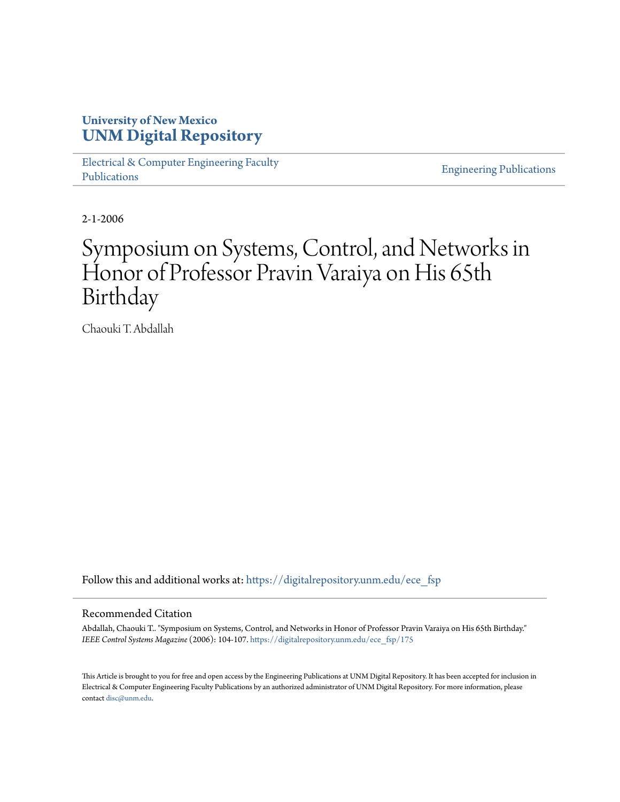## **University of New Mexico [UNM Digital Repository](https://digitalrepository.unm.edu?utm_source=digitalrepository.unm.edu%2Fece_fsp%2F175&utm_medium=PDF&utm_campaign=PDFCoverPages)**

[Electrical & Computer Engineering Faculty](https://digitalrepository.unm.edu/ece_fsp?utm_source=digitalrepository.unm.edu%2Fece_fsp%2F175&utm_medium=PDF&utm_campaign=PDFCoverPages) [Publications](https://digitalrepository.unm.edu/ece_fsp?utm_source=digitalrepository.unm.edu%2Fece_fsp%2F175&utm_medium=PDF&utm_campaign=PDFCoverPages)

[Engineering Publications](https://digitalrepository.unm.edu/eng_fsp?utm_source=digitalrepository.unm.edu%2Fece_fsp%2F175&utm_medium=PDF&utm_campaign=PDFCoverPages)

2-1-2006

# Symposium on Systems, Control, and Networks in Honor of Professor Pravin Varaiya on His 65th Birthday

Chaouki T. Abdallah

Follow this and additional works at: [https://digitalrepository.unm.edu/ece\\_fsp](https://digitalrepository.unm.edu/ece_fsp?utm_source=digitalrepository.unm.edu%2Fece_fsp%2F175&utm_medium=PDF&utm_campaign=PDFCoverPages)

#### Recommended Citation

Abdallah, Chaouki T.. "Symposium on Systems, Control, and Networks in Honor of Professor Pravin Varaiya on His 65th Birthday." *IEEE Control Systems Magazine* (2006): 104-107. [https://digitalrepository.unm.edu/ece\\_fsp/175](https://digitalrepository.unm.edu/ece_fsp/175?utm_source=digitalrepository.unm.edu%2Fece_fsp%2F175&utm_medium=PDF&utm_campaign=PDFCoverPages)

This Article is brought to you for free and open access by the Engineering Publications at UNM Digital Repository. It has been accepted for inclusion in Electrical & Computer Engineering Faculty Publications by an authorized administrator of UNM Digital Repository. For more information, please contact [disc@unm.edu.](mailto:disc@unm.edu)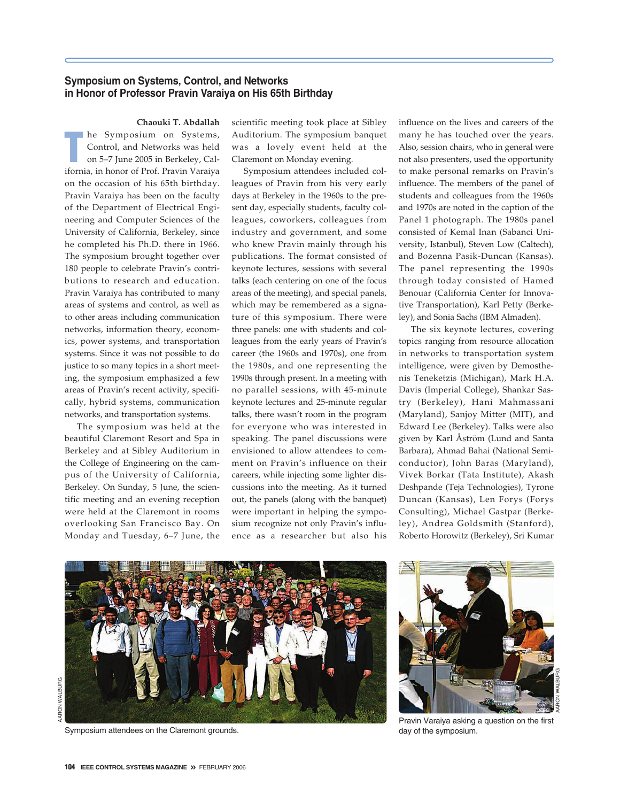### **Symposium on Systems, Control, and Networks in Honor of Professor Pravin Varaiya on His 65th Birthday**

**Chaouki T. Abdallah**

**T** he Symposium on Systems, Control, and Networks was held on 5–7 June 2005 in Berkeley, California, in honor of Prof. Pravin Varaiya on the occasion of his 65th birthday. Pravin Varaiya has been on the faculty of the Department of Electrical Engineering and Computer Sciences of the University of California, Berkeley, since he completed his Ph.D. there in 1966. The symposium brought together over 180 people to celebrate Pravin's contributions to research and education. Pravin Varaiya has contributed to many areas of systems and control, as well as to other areas including communication networks, information theory, economics, power systems, and transportation systems. Since it was not possible to do justice to so many topics in a short meeting, the symposium emphasized a few areas of Pravin's recent activity, specifically, hybrid systems, communication networks, and transportation systems.

The symposium was held at the beautiful Claremont Resort and Spa in Berkeley and at Sibley Auditorium in the College of Engineering on the campus of the University of California, Berkeley. On Sunday, 5 June, the scientific meeting and an evening reception were held at the Claremont in rooms overlooking San Francisco Bay. On Monday and Tuesday, 6–7 June, the scientific meeting took place at Sibley Auditorium. The symposium banquet was a lovely event held at the Claremont on Monday evening.

Symposium attendees included colleagues of Pravin from his very early days at Berkeley in the 1960s to the present day, especially students, faculty colleagues, coworkers, colleagues from industry and government, and some who knew Pravin mainly through his publications. The format consisted of keynote lectures, sessions with several talks (each centering on one of the focus areas of the meeting), and special panels, which may be remembered as a signature of this symposium. There were three panels: one with students and colleagues from the early years of Pravin's career (the 1960s and 1970s), one from the 1980s, and one representing the 1990s through present. In a meeting with no parallel sessions, with 45-minute keynote lectures and 25-minute regular talks, there wasn't room in the program for everyone who was interested in speaking. The panel discussions were envisioned to allow attendees to comment on Pravin's influence on their careers, while injecting some lighter discussions into the meeting. As it turned out, the panels (along with the banquet) were important in helping the symposium recognize not only Pravin's influence as a researcher but also his

influence on the lives and careers of the many he has touched over the years. Also, session chairs, who in general were not also presenters, used the opportunity to make personal remarks on Pravin's influence. The members of the panel of students and colleagues from the 1960s and 1970s are noted in the caption of the Panel 1 photograph. The 1980s panel consisted of Kemal Inan (Sabanci University, Istanbul), Steven Low (Caltech), and Bozenna Pasik-Duncan (Kansas). The panel representing the 1990s through today consisted of Hamed Benouar (California Center for Innovative Transportation), Karl Petty (Berkeley), and Sonia Sachs (IBM Almaden).

The six keynote lectures, covering topics ranging from resource allocation in networks to transportation system intelligence, were given by Demosthenis Teneketzis (Michigan), Mark H.A. Davis (Imperial College), Shankar Sastry (Berkeley), Hani Mahmassani (Maryland), Sanjoy Mitter (MIT), and Edward Lee (Berkeley). Talks were also given by Karl Åström (Lund and Santa Barbara), Ahmad Bahai (National Semiconductor), John Baras (Maryland), Vivek Borkar (Tata Institute), Akash Deshpande (Teja Technologies), Tyrone Duncan (Kansas), Len Forys (Forys Consulting), Michael Gastpar (Berkeley), Andrea Goldsmith (Stanford), Roberto Horowitz (Berkeley), Sri Kumar



Symposium attendees on the Claremont grounds.



Pravin Varaiya asking a question on the first day of the symposium.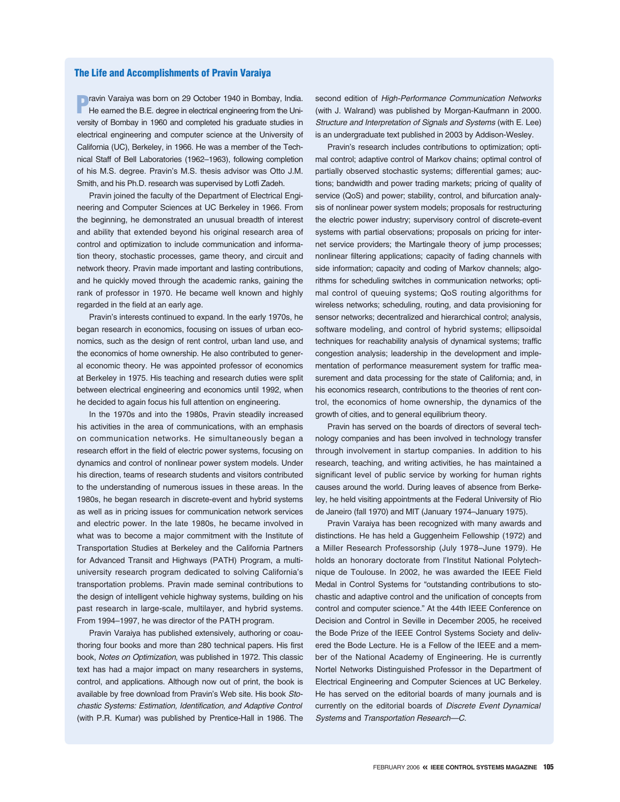#### **The Life and Accomplishments of Pravin Varaiya**

**P**ravin Varaiya was born on 29 October 1940 in Bombay, India.<br>He earned the B.E. degree in electrical engineering from the University of Bombay in 1960 and completed his graduate studies in electrical engineering and computer science at the University of California (UC), Berkeley, in 1966. He was a member of the Technical Staff of Bell Laboratories (1962–1963), following completion of his M.S. degree. Pravin's M.S. thesis advisor was Otto J.M. Smith, and his Ph.D. research was supervised by Lotfi Zadeh.

Pravin joined the faculty of the Department of Electrical Engineering and Computer Sciences at UC Berkeley in 1966. From the beginning, he demonstrated an unusual breadth of interest and ability that extended beyond his original research area of control and optimization to include communication and information theory, stochastic processes, game theory, and circuit and network theory. Pravin made important and lasting contributions, and he quickly moved through the academic ranks, gaining the rank of professor in 1970. He became well known and highly regarded in the field at an early age.

Pravin's interests continued to expand. In the early 1970s, he began research in economics, focusing on issues of urban economics, such as the design of rent control, urban land use, and the economics of home ownership. He also contributed to general economic theory. He was appointed professor of economics at Berkeley in 1975. His teaching and research duties were split between electrical engineering and economics until 1992, when he decided to again focus his full attention on engineering.

In the 1970s and into the 1980s, Pravin steadily increased his activities in the area of communications, with an emphasis on communication networks. He simultaneously began a research effort in the field of electric power systems, focusing on dynamics and control of nonlinear power system models. Under his direction, teams of research students and visitors contributed to the understanding of numerous issues in these areas. In the 1980s, he began research in discrete-event and hybrid systems as well as in pricing issues for communication network services and electric power. In the late 1980s, he became involved in what was to become a major commitment with the Institute of Transportation Studies at Berkeley and the California Partners for Advanced Transit and Highways (PATH) Program, a multiuniversity research program dedicated to solving California's transportation problems. Pravin made seminal contributions to the design of intelligent vehicle highway systems, building on his past research in large-scale, multilayer, and hybrid systems. From 1994–1997, he was director of the PATH program.

Pravin Varaiya has published extensively, authoring or coauthoring four books and more than 280 technical papers. His first book, *Notes on Optimization*, was published in 1972. This classic text has had a major impact on many researchers in systems, control, and applications. Although now out of print, the book is available by free download from Pravin's Web site. His book *Stochastic Systems: Estimation, Identification, and Adaptive Control* (with P.R. Kumar) was published by Prentice-Hall in 1986. The second edition of *High-Performance Communication Networks* (with J. Walrand) was published by Morgan-Kaufmann in 2000. *Structure and Interpretation of Signals and Systems* (with E. Lee) is an undergraduate text published in 2003 by Addison-Wesley.

Pravin's research includes contributions to optimization; optimal control; adaptive control of Markov chains; optimal control of partially observed stochastic systems; differential games; auctions; bandwidth and power trading markets; pricing of quality of service (QoS) and power; stability, control, and bifurcation analysis of nonlinear power system models; proposals for restructuring the electric power industry; supervisory control of discrete-event systems with partial observations; proposals on pricing for internet service providers; the Martingale theory of jump processes; nonlinear filtering applications; capacity of fading channels with side information; capacity and coding of Markov channels; algorithms for scheduling switches in communication networks; optimal control of queuing systems; QoS routing algorithms for wireless networks; scheduling, routing, and data provisioning for sensor networks; decentralized and hierarchical control; analysis, software modeling, and control of hybrid systems; ellipsoidal techniques for reachability analysis of dynamical systems; traffic congestion analysis; leadership in the development and implementation of performance measurement system for traffic measurement and data processing for the state of California; and, in his economics research, contributions to the theories of rent control, the economics of home ownership, the dynamics of the growth of cities, and to general equilibrium theory.

Pravin has served on the boards of directors of several technology companies and has been involved in technology transfer through involvement in startup companies. In addition to his research, teaching, and writing activities, he has maintained a significant level of public service by working for human rights causes around the world. During leaves of absence from Berkeley, he held visiting appointments at the Federal University of Rio de Janeiro (fall 1970) and MIT (January 1974–January 1975).

Pravin Varaiya has been recognized with many awards and distinctions. He has held a Guggenheim Fellowship (1972) and a Miller Research Professorship (July 1978–June 1979). He holds an honorary doctorate from l'Institut National Polytechnique de Toulouse. In 2002, he was awarded the IEEE Field Medal in Control Systems for "outstanding contributions to stochastic and adaptive control and the unification of concepts from control and computer science." At the 44th IEEE Conference on Decision and Control in Seville in December 2005, he received the Bode Prize of the IEEE Control Systems Society and delivered the Bode Lecture. He is a Fellow of the IEEE and a member of the National Academy of Engineering. He is currently Nortel Networks Distinguished Professor in the Department of Electrical Engineering and Computer Sciences at UC Berkeley. He has served on the editorial boards of many journals and is currently on the editorial boards of *Discrete Event Dynamical Systems* and *Transportation Research—C.*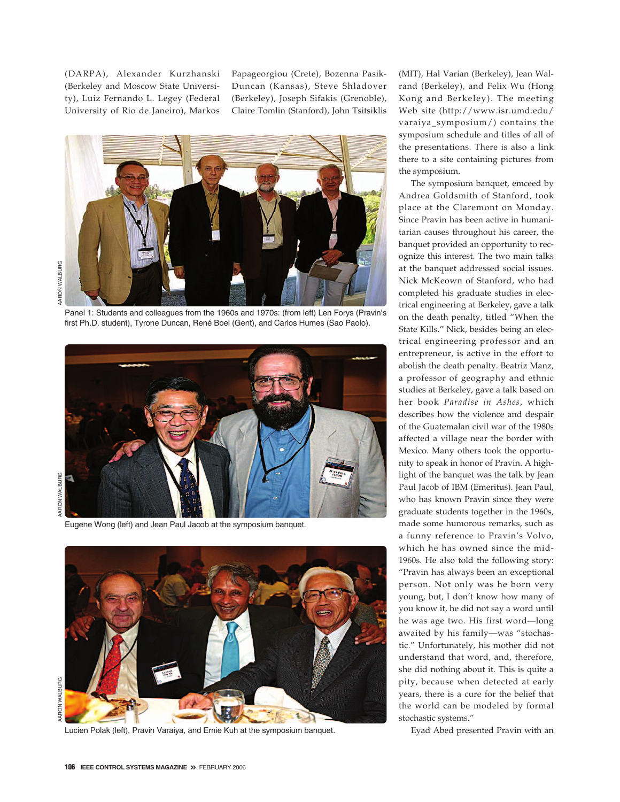(DARPA), Alexander Kurzhanski (Berkeley and Moscow State University), Luiz Fernando L. Legey (Federal University of Rio de Janeiro), Markos

Papageorgiou (Crete), Bozenna Pasik-Duncan (Kansas), Steve Shladover (Berkeley), Joseph Sifakis (Grenoble), Claire Tomlin (Stanford), John Tsitsiklis



Panel 1: Students and colleagues from the 1960s and 1970s: (from left) Len Forys (Pravin's first Ph.D. student), Tyrone Duncan, René Boel (Gent), and Carlos Humes (Sao Paolo).



AARON WALBURG

Eugene Wong (left) and Jean Paul Jacob at the symposium banquet.



Lucien Polak (left), Pravin Varaiya, and Ernie Kuh at the symposium banquet.

(MIT), Hal Varian (Berkeley), Jean Walrand (Berkeley), and Felix Wu (Hong Kong and Berkeley). The meeting Web site (http://www.isr.umd.edu/ varaiya\_symposium/) contains the symposium schedule and titles of all of the presentations. There is also a link there to a site containing pictures from the symposium.

The symposium banquet, emceed by Andrea Goldsmith of Stanford, took place at the Claremont on Monday. Since Pravin has been active in humanitarian causes throughout his career, the banquet provided an opportunity to recognize this interest. The two main talks at the banquet addressed social issues. Nick McKeown of Stanford, who had completed his graduate studies in electrical engineering at Berkeley, gave a talk on the death penalty, titled "When the State Kills." Nick, besides being an electrical engineering professor and an entrepreneur, is active in the effort to abolish the death penalty. Beatriz Manz, a professor of geography and ethnic studies at Berkeley, gave a talk based on her book *Paradise in Ashes*, which describes how the violence and despair of the Guatemalan civil war of the 1980s affected a village near the border with Mexico. Many others took the opportunity to speak in honor of Pravin. A highlight of the banquet was the talk by Jean Paul Jacob of IBM (Emeritus). Jean Paul, who has known Pravin since they were graduate students together in the 1960s, made some humorous remarks, such as a funny reference to Pravin's Volvo, which he has owned since the mid-1960s. He also told the following story: "Pravin has always been an exceptional person. Not only was he born very young, but, I don't know how many of you know it, he did not say a word until he was age two. His first word—long awaited by his family—was "stochastic." Unfortunately, his mother did not understand that word, and, therefore, she did nothing about it. This is quite a pity, because when detected at early years, there is a cure for the belief that the world can be modeled by formal stochastic systems."

Eyad Abed presented Pravin with an